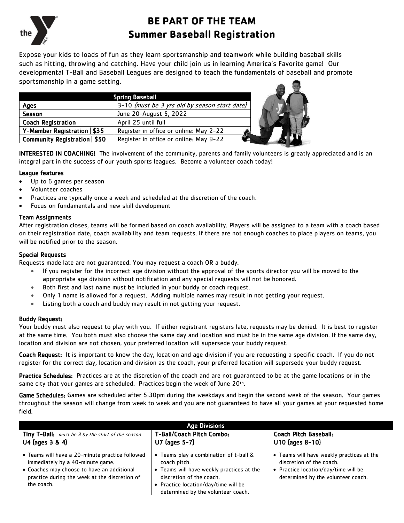

# **BE PART OF THE TEAM Summer Baseball Registration**

Expose your kids to loads of fun as they learn sportsmanship and teamwork while building baseball skills such as hitting, throwing and catching. Have your child join us in learning America's Favorite game! Our developmental T-Ball and Baseball Leagues are designed to teach the fundamentals of baseball and promote sportsmanship in a game setting.

| <b>Spring Baseball</b>        |                                               |  |  |  |  |  |
|-------------------------------|-----------------------------------------------|--|--|--|--|--|
| Ages                          | 3-10 (must be 3 yrs old by season start date) |  |  |  |  |  |
| Season                        | June 20-August 5, 2022                        |  |  |  |  |  |
| <b>Coach Registration</b>     | April 25 until full                           |  |  |  |  |  |
| Y-Member Registration   \$35  | Register in office or online: May 2-22        |  |  |  |  |  |
| Community Registration   \$50 | Register in office or online: May 9-22        |  |  |  |  |  |

**INTERESTED IN COACHING!** The involvement of the community, parents and family volunteers is greatly appreciated and is an integral part in the success of our youth sports leagues. Become a volunteer coach today!

### League features

- Up to 6 games per season
- Volunteer coaches
- Practices are typically once a week and scheduled at the discretion of the coach.
- Focus on fundamentals and new skill development

### Team Assignments

After registration closes, teams will be formed based on coach availability. Players will be assigned to a team with a coach based on their registration date, coach availability and team requests. If there are not enough coaches to place players on teams, you will be notified prior to the season.

### Special Requests

Requests made late are not guaranteed. You may request a coach OR a buddy.

- If you register for the incorrect age division without the approval of the sports director you will be moved to the appropriate age division without notification and any special requests will not be honored.
- Both first and last name must be included in your buddy or coach request.
- Only 1 name is allowed for a request. Adding multiple names may result in not getting your request.
- Listing both a coach and buddy may result in not getting your request.

### Buddy Request:

the coach.

Your buddy must also request to play with you. If either registrant registers late, requests may be denied. It is best to register at the same time. You both must also choose the same day and location and must be in the same age division. If the same day, location and division are not chosen, your preferred location will supersede your buddy request.

Coach Request: It is important to know the day, location and age division if you are requesting a specific coach. If you do not register for the correct day, location and division as the coach, your preferred location will supersede your buddy request.

Practice Schedules: Practices are at the discretion of the coach and are not quaranteed to be at the game locations or in the same city that your games are scheduled. Practices begin the week of June 20<sup>th</sup>.

Game Schedules: Games are scheduled after 5:30pm during the weekdays and begin the second week of the season. Your games throughout the season will change from week to week and you are not guaranteed to have all your games at your requested home field.

| <b>Age Divisions</b>                              |                                           |                                           |  |  |  |  |  |  |
|---------------------------------------------------|-------------------------------------------|-------------------------------------------|--|--|--|--|--|--|
| Tiny T-Ball: must be 3 by the start of the season | T-Ball/Coach Pitch Combo:                 | <b>Coach Pitch Baseball:</b>              |  |  |  |  |  |  |
| U4 (ages 3 & 4)                                   | U7 (ages 5-7)                             | U10 (ages 8-10)                           |  |  |  |  |  |  |
| • Teams will have a 20-minute practice followed   | Teams play a combination of t-ball &      | • Teams will have weekly practices at the |  |  |  |  |  |  |
| immediately by a 40-minute game.                  | coach pitch.                              | discretion of the coach.                  |  |  |  |  |  |  |
| • Coaches may choose to have an additional        | • Teams will have weekly practices at the | • Practice location/day/time will be      |  |  |  |  |  |  |
| practice during the week at the discretion of     | discretion of the coach.                  | determined by the volunteer coach.        |  |  |  |  |  |  |

• Practice location/day/time will be determined by the volunteer coach.